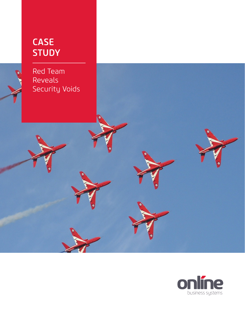#### CASE STUDY



Red Team Reveals Security Voids

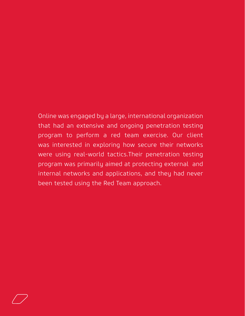#### Online was engaged by a large, international organization that had an extensive and ongoing penetration testing program to perform a red team exercise. Our client was interested in exploring how secure their networks were using real-world tactics.Their penetration testing program was primarily aimed at protecting external and internal networks and applications, and they had never been tested using the Red Team approach.

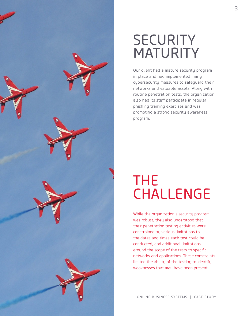

# **SECURITY** MATURITY

Our client had a mature security program in place and had implemented many cybersecurity measures to safeguard their networks and valuable assets. Along with routine penetration tests, the organization also had its staff participate in regular phishing training exercises and was promoting a strong security awareness program.

## THE CHALLENGE

While the organization's security program was robust, they also understood that their penetration testing activities were constrained by various limitations to the dates and times each test could be conducted, and additional limitations around the scope of the tests to specific networks and applications. These constraints limited the ability of the testing to identify weaknesses that may have been present.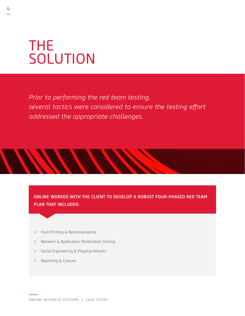# THE SOLUTION

*Prior to performing the red team testing, several tactics were considered to ensure the testing effort addressed the appropriate challenges.*

ONLINE WORKED WITH THE CLIENT TO DEVELOP A ROBUST FOUR-PHASED RED TEAM PLAN THAT INCLUDED:

- > Foot Printing & Reconnaissance
- > Network & Application Penetration Testing
- > Social Engineering & Physical Attacks
- > Reporting & Closure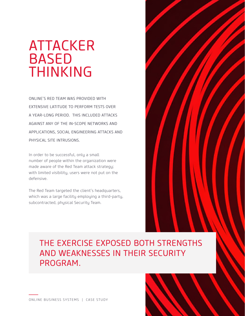#### ATTACKER BASED THINKING

ONLINE'S RED TEAM WAS PROVIDED WITH EXTENSIVE LATITUDE TO PERFORM TESTS OVER A YEAR-LONG PERIOD. THIS INCLUDED ATTACKS AGAINST ANY OF THE IN-SCOPE NETWORKS AND APPLICATIONS, SOCIAL ENGINEERING ATTACKS AND PHYSICAL SITE INTRUSIONS.

In order to be successful, only a small number of people within the organization were made aware of the Red Team attack strategy; with limited visibility, users were not put on the defensive.

The Red Team targeted the client's headquarters, which was a large facility employing a third-party, subcontracted, physical Security Team.



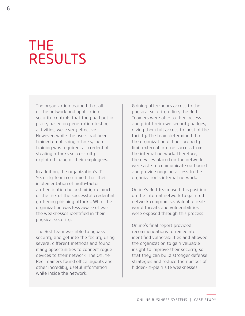## THE RESULTS

The organization learned that all of the network and application security controls that they had put in place, based on penetration testing activities, were very effective. However, while the users had been trained on phishing attacks, more training was required, as credential stealing attacks successfully exploited many of their employees.

In addition, the organization's IT Security Team confirmed that their implementation of multi-factor authentication helped mitigate much of the risk of the successful credential gathering phishing attacks. What the organization was less aware of was the weaknesses identified in their physical security.

The Red Team was able to bypass security and get into the facility using several different methods and found many opportunities to connect rogue devices to their network. The Online Red Teamers found office layouts and other incredibly useful information while inside the network.

Gaining after-hours access to the physical security office, the Red Teamers were able to then access and print their own security badges, giving them full access to most of the facility. The team determined that the organization did not properly limit external internet access from the internal network. Therefore, the devices placed on the network were able to communicate outbound and provide ongoing access to the organization's internal network.

Online's Red Team used this position on the internal network to gain full network compromise. Valuable realworld threats and vulnerabilities were exposed through this process.

Online's final report provided recommendations to remediate identified vulnerabilities and allowed the organization to gain valuable insight to improve their security so that they can build stronger defense strategies and reduce the number of hidden-in-plain site weaknesses.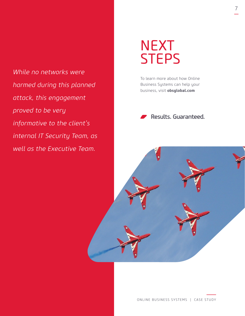*While no networks were harmed during this planned attack, this engagement proved to be very informative to the client's internal IT Security Team, as well as the Executive Team.*

### **NEXT STEPS**

To learn more about how Online Business Systems can help your business, visit **obsglobal.com**

#### Results, Guaranteed.